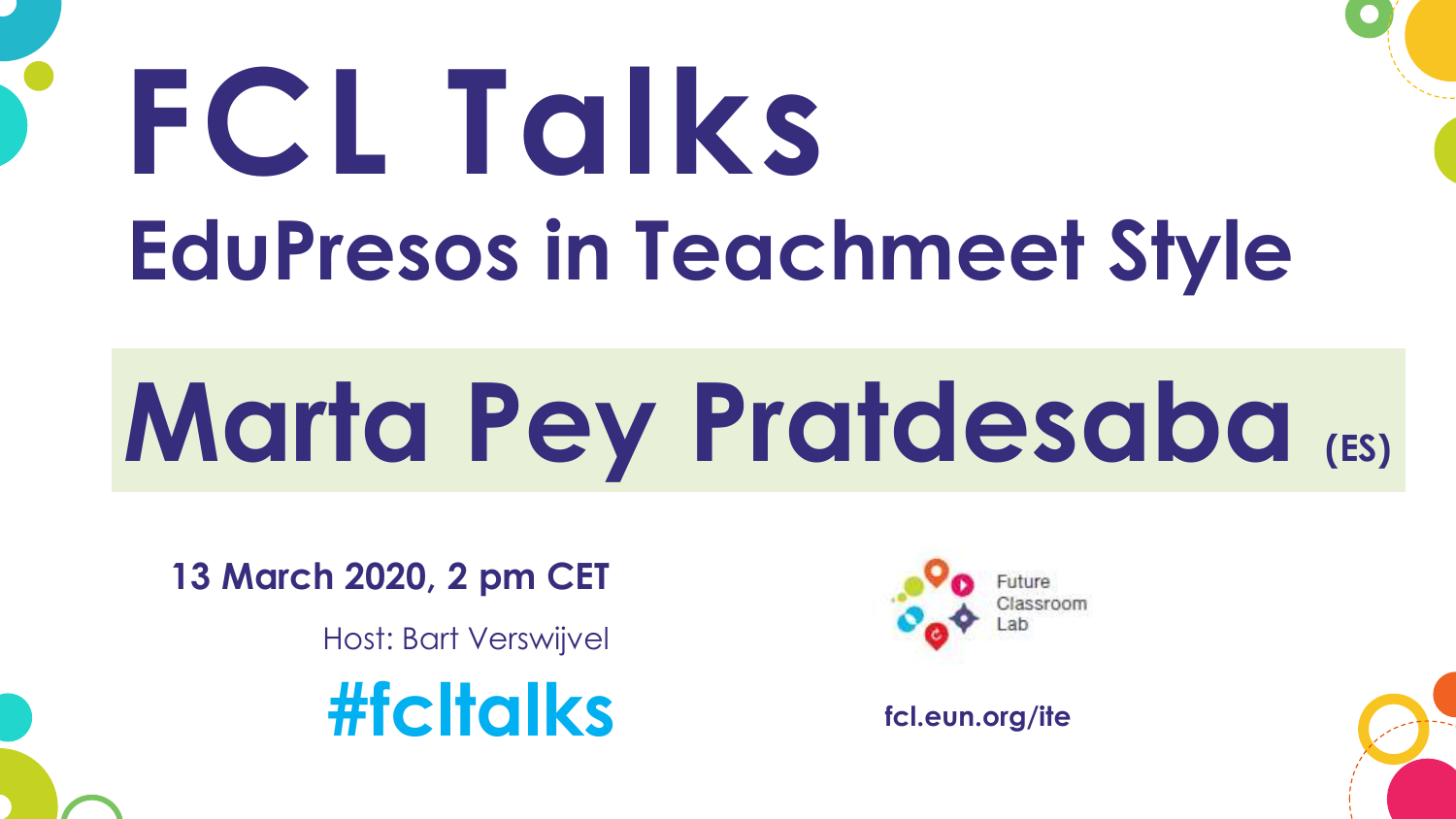# **FCL Talks EduPresos in Teachmeet Style**

# **Marta Pey Pratdesaba (ES)**

**13 March 2020, 2 pm CET**

Host: Bart Verswijvel

**#fcltalks fcl.eun.org/ite**

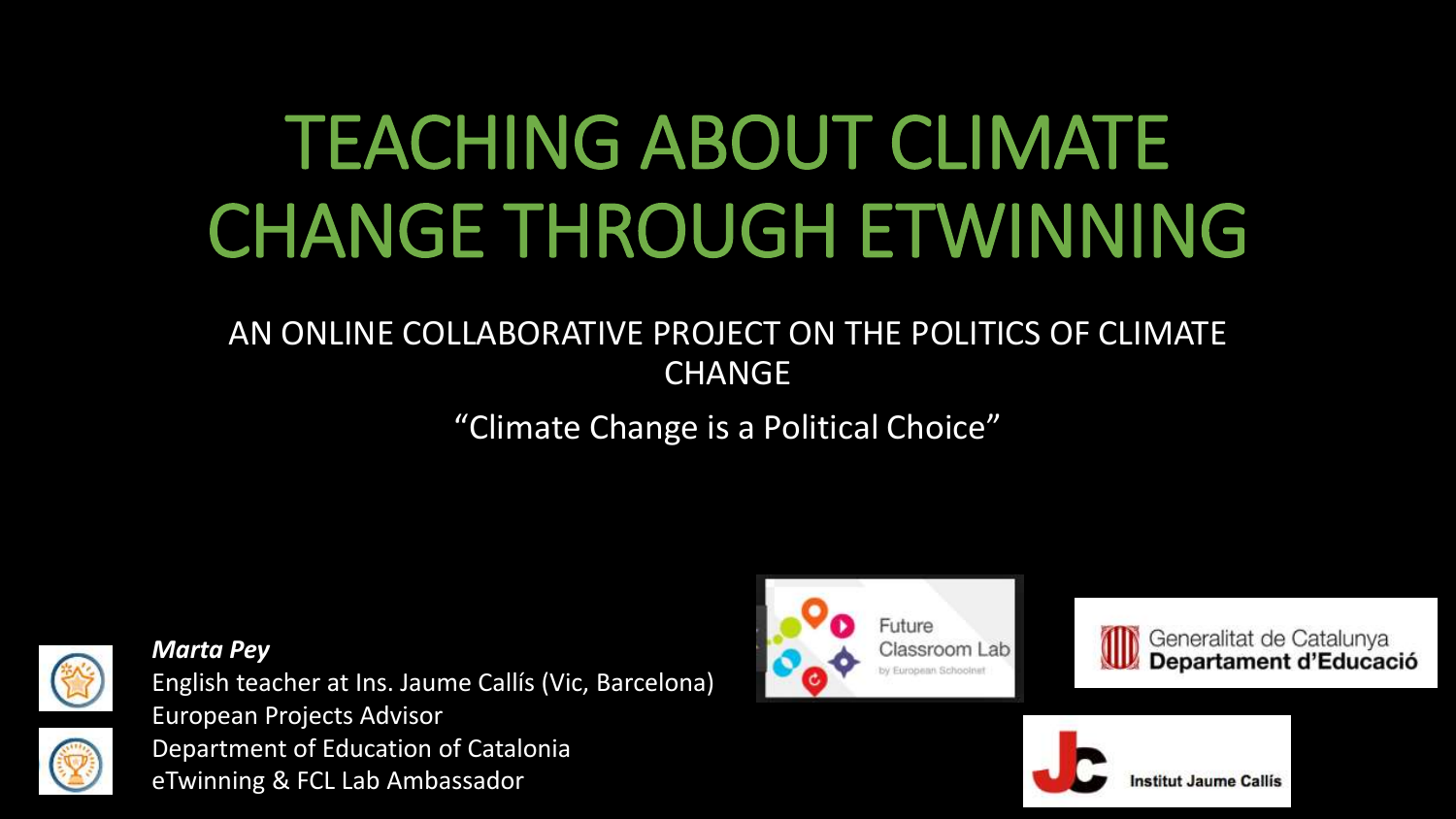# TEACHING ABOUT CLIMATE CHANGE THROUGH ETWINNING

### AN ONLINE COLLABORATIVE PROJECT ON THE POLITICS OF CLIMATE **CHANGE**

"Climate Change is a Political Choice"



*Marta Pey*

English teacher at Ins. Jaume Callís (Vic, Barcelona) European Projects Advisor Department of Education of Catalonia eTwinning & FCL Lab Ambassador





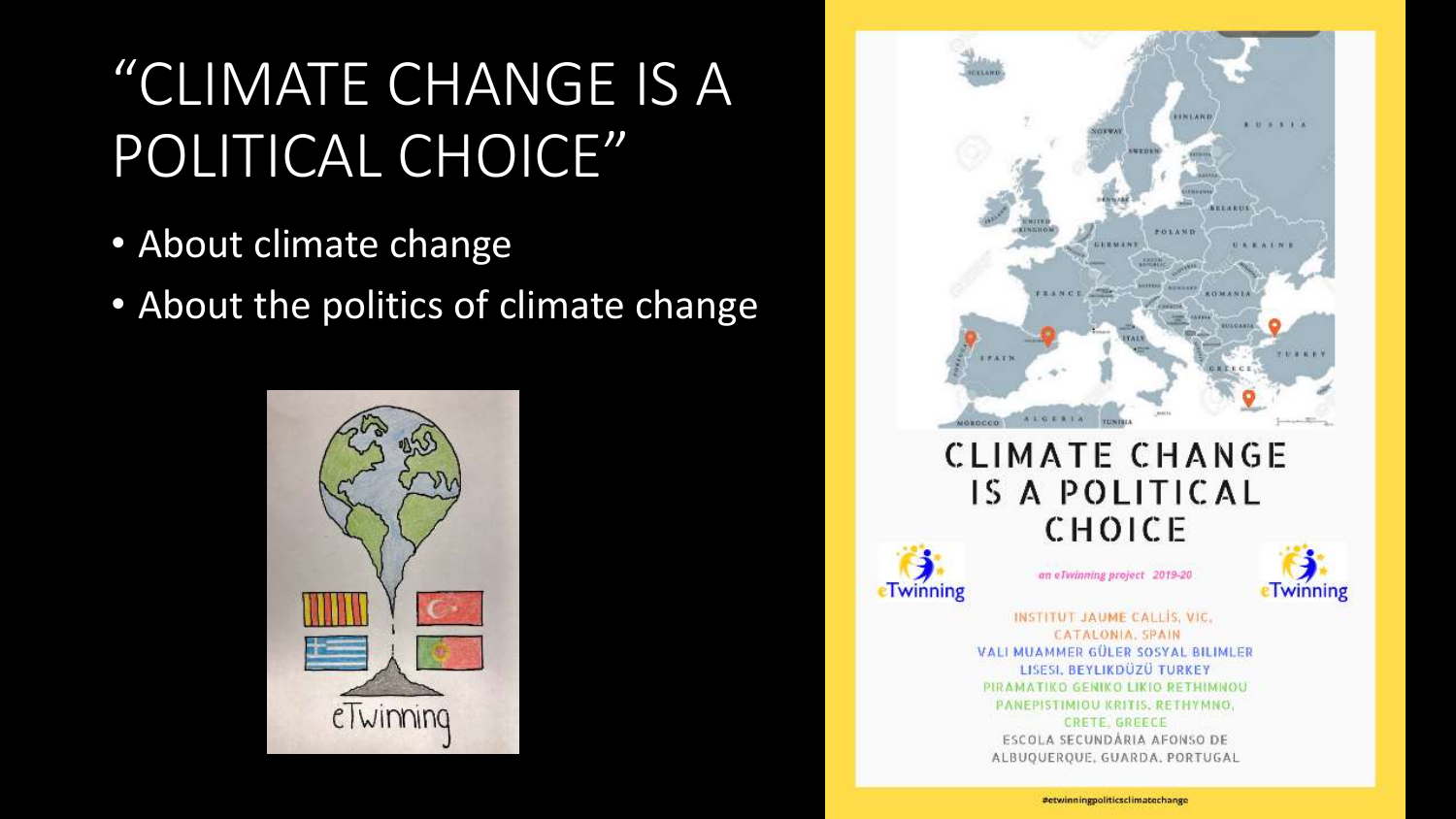# "CLIMATE CHANGE IS A POLITICAL CHOICE"

- About climate change
- About the politics of climate change



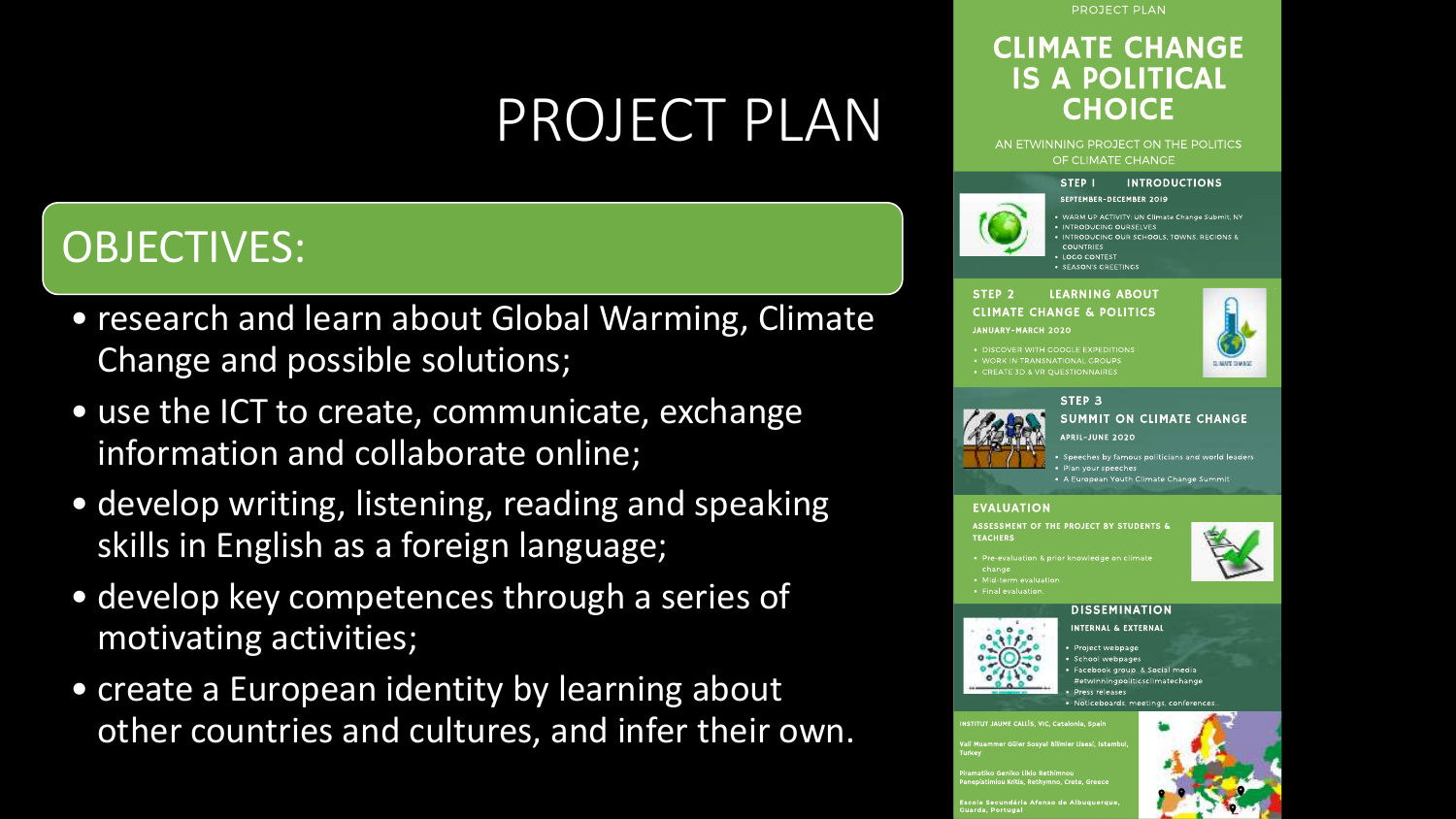# PROJECT PLAN

### OBJECTIVES:

- research and learn about Global Warming, Climate Change and possible solutions;
- use the ICT to create, communicate, exchange information and collaborate online;
- develop writing, listening, reading and speaking skills in English as a foreign language;
- develop key competences through a series of motivating activities;
- create a European identity by learning about other countries and cultures, and infer their own.

#### **PROJECT PLAN**

### **CLIMATE CHANGE IS A POLITICAL CHOICE**

#### AN ETWINNING PROJECT ON THE POLITICS OF CLIMATE CHANGE

SEPTEMBER-DECEMBER 2019

#### STEP I **INTRODUCTIONS**



. WARM UP ACTIVITY: UN Climate Change Submit, NY . INTRODUCING OURSELVES · INTRODUCING OUR SCHOOLS, TOWNS, REGIONS & **COUNTRIES** LOGO CONTEST · SEASON'S GREETINGS

#### STEP<sub>2</sub> **LEARNING ABOUT CLIMATE CHANGE & POLITICS**



#### STEP<sub>3</sub>



#### **SUMMIT ON CLIMATE CHANGE**

**APRIL-JUNE 2020** 

· Plan your speeche

• A European Youth Climate Change Summi

#### **EVALUATION**

ASSESSMENT OF THE PROJECT BY STUDENTS & **TEACHERS** 



on & prior knowledge on climate



**DISSEMINATION** 



**INTERNAL & EXTERNAL Project webpage** School webpage: Facebook group & Social media #etwinningpoliticsclimatechange **Press releases** 

· Noticeboards, meetings, conference

Güler Sosyal Bilimler Lisesi, Istam

ou Kritis, Rethymno, Crete, Gree

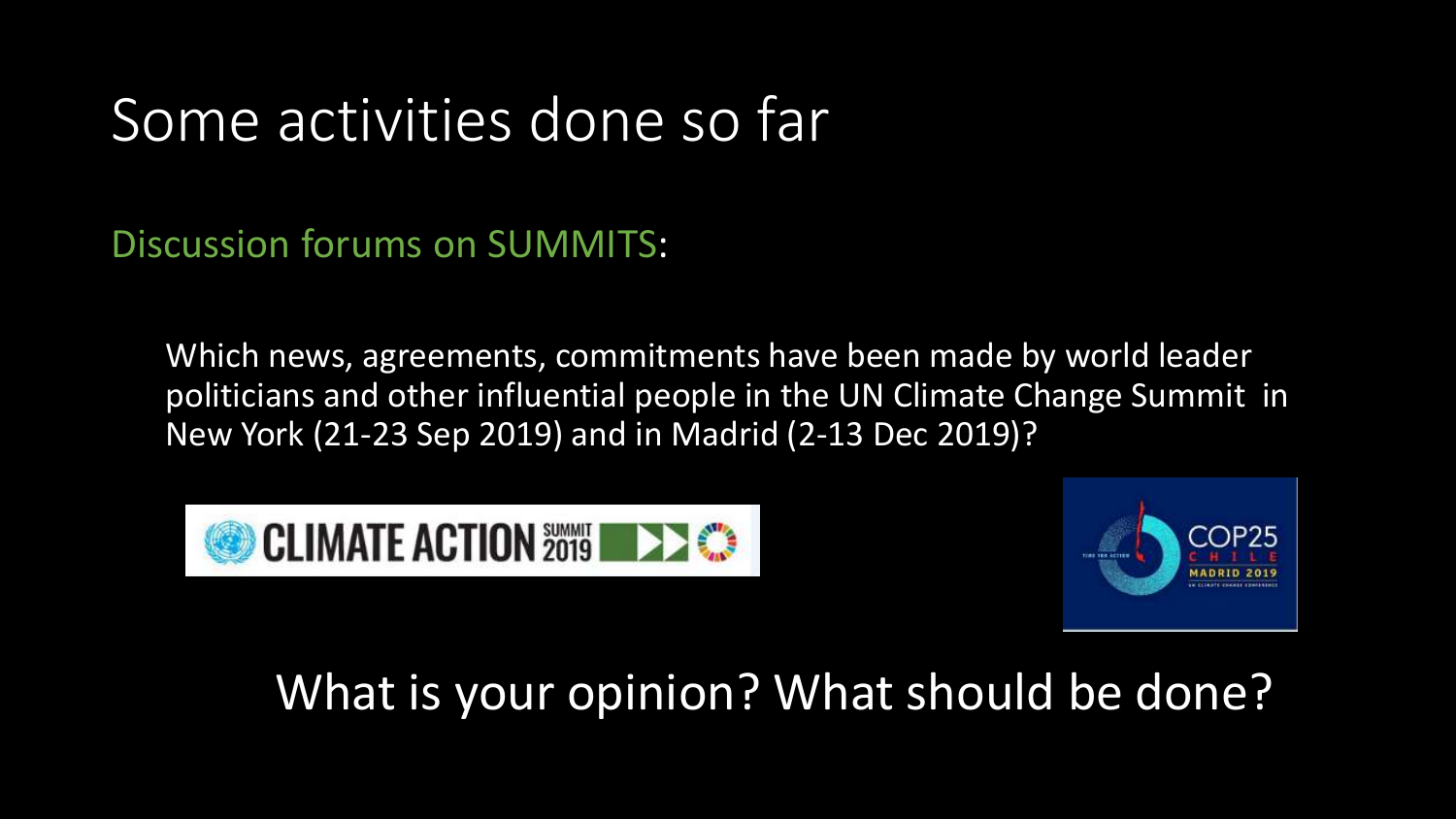# Some activities done so far

Discussion forums on SUMMITS:

Which news, agreements, commitments have been made by world leader politicians and other influential people in the UN Climate Change Summit in New York (21-23 Sep 2019) and in Madrid (2-13 Dec 2019)?





### What is your opinion? What should be done?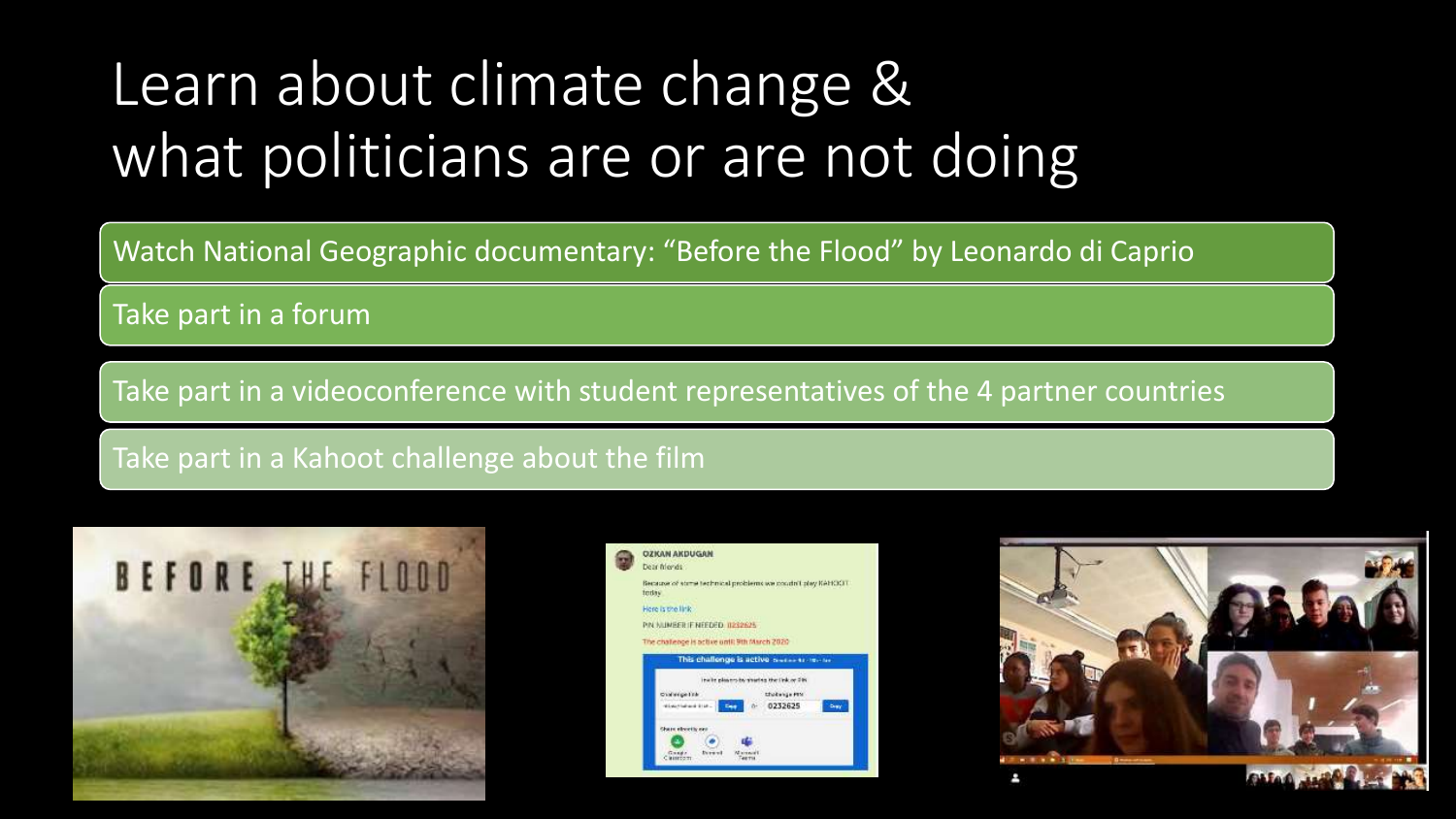# Learn about climate change & what politicians are or are not doing

Watch National Geographic documentary: "Before the Flood" by Leonardo di Caprio

Take part in a forum

Take part in a videoconference with student representatives of the 4 partner countries

Take part in a Kahoot challenge about the film





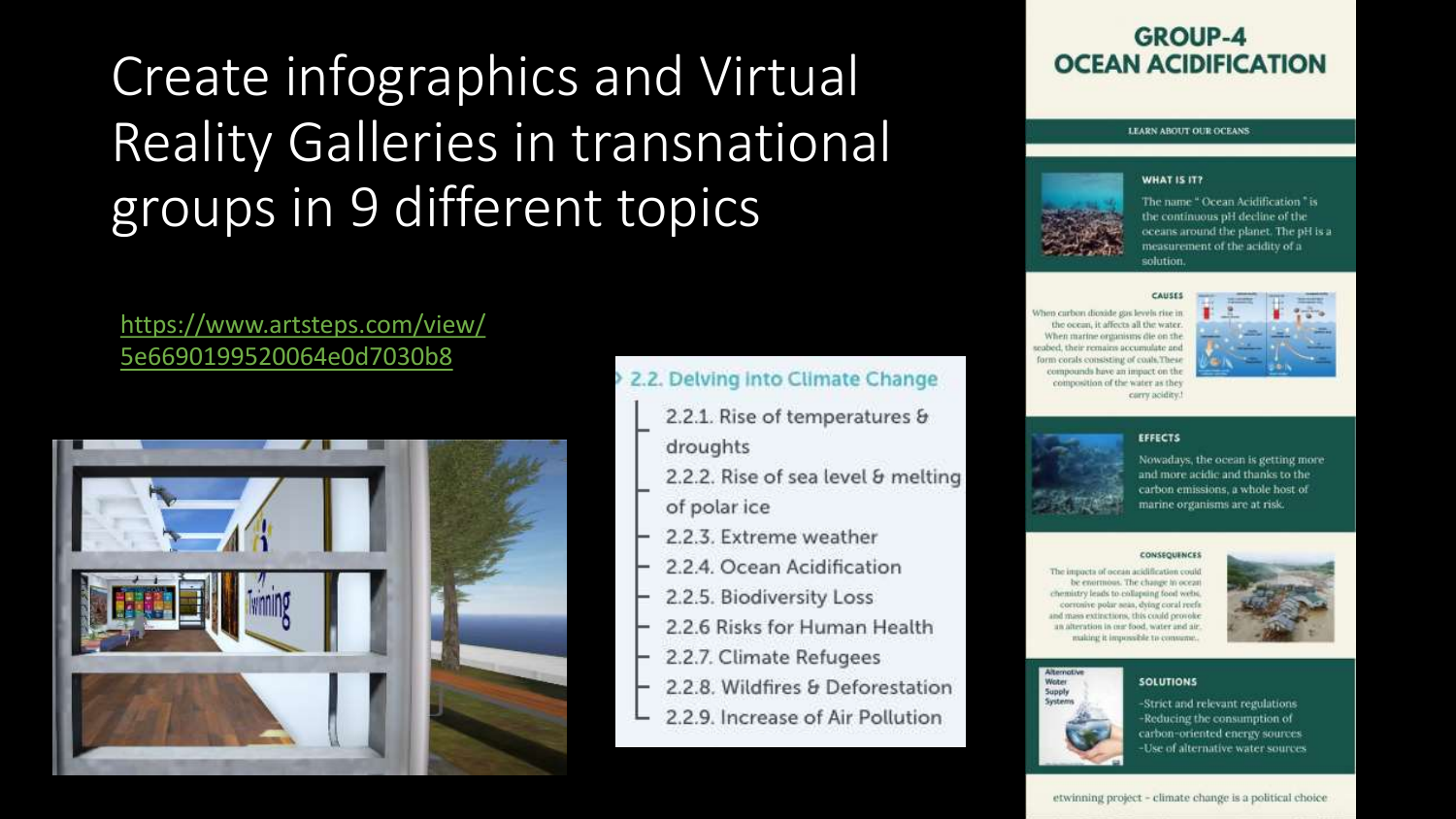### Create infographics and Virtual Reality Galleries in transnational groups in 9 different topics

### https://www.artsteps.com/view/ 5e6690199520064e0d7030b8



### 2.2. Delving Into Climate Change

- 2.2.1. Rise of temperatures &
- droughts
- 2.2.2. Rise of sea level & melting
- of polar ice
- 2.2.3. Extreme weather
- 2.2.4. Ocean Acidification
- 2.2.5. Biodiversity Loss
- 2.2.6 Risks for Human Health
- 2.2.7. Climate Refugees
- 2.2.8. Wildfires & Deforestation
- 2.2.9. Increase of Air Pollution

### **GROUP-4 OCEAN ACIDIFICATION**

#### LEARN ABOUT OUR OCEANS

#### **WHAT IS IT?**



The name " Ocean Acidification " is the continuous pH decline of the oceans around the planet. The pH is a measurement of the acidity of a solution.

#### CAUSE

When carbon dioxide gas levels rise in the ocean, it affects all the water. When marine organisms die on the seabed, their remains accumulate and form corals consisting of coals. These compounds have an impact on the composition of the water as they carry acidity.



#### **EFFECTS**



#### **CONSEQUENCES**

**SOLUTIONS** 

The impacts of ocean acidification could be enormous. The change in ocean chemistry leads to collapsing food webs. correnive polar seas, dying coral reefs and mass extinctions, this could provoke an alteration in our food, water and air. making it impossible to consume



#### Alternativ



Weiter

-Strict and relevant regulations -Reducing the consumption of carbon-oriented energy sources -Use of alternative water sources

#### etwinning project - climate change is a political choice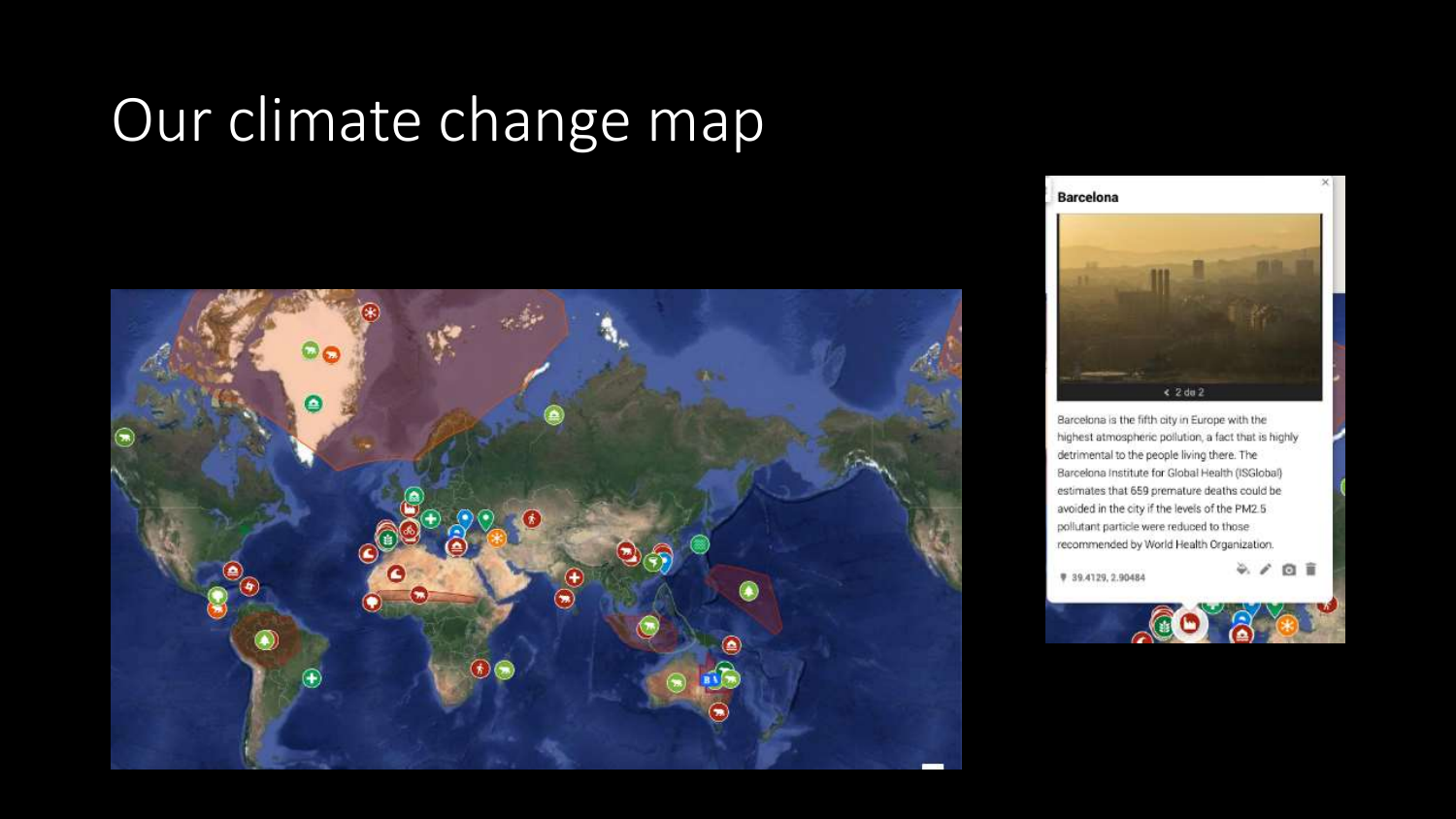# Our climate change map





Barcelona is the fifth city in Europe with the highest atmospheric pollution, a fact that is highly detrimental to the people living there. The Barcelona Institute for Global Health (ISGlobal) estimates that 659 premature deaths could be avoided in the city if the levels of the PM2.5 pollutant particle were reduced to those recommended by World Health Organization.

₹ 39.4129, 2.90484

4. / 四言

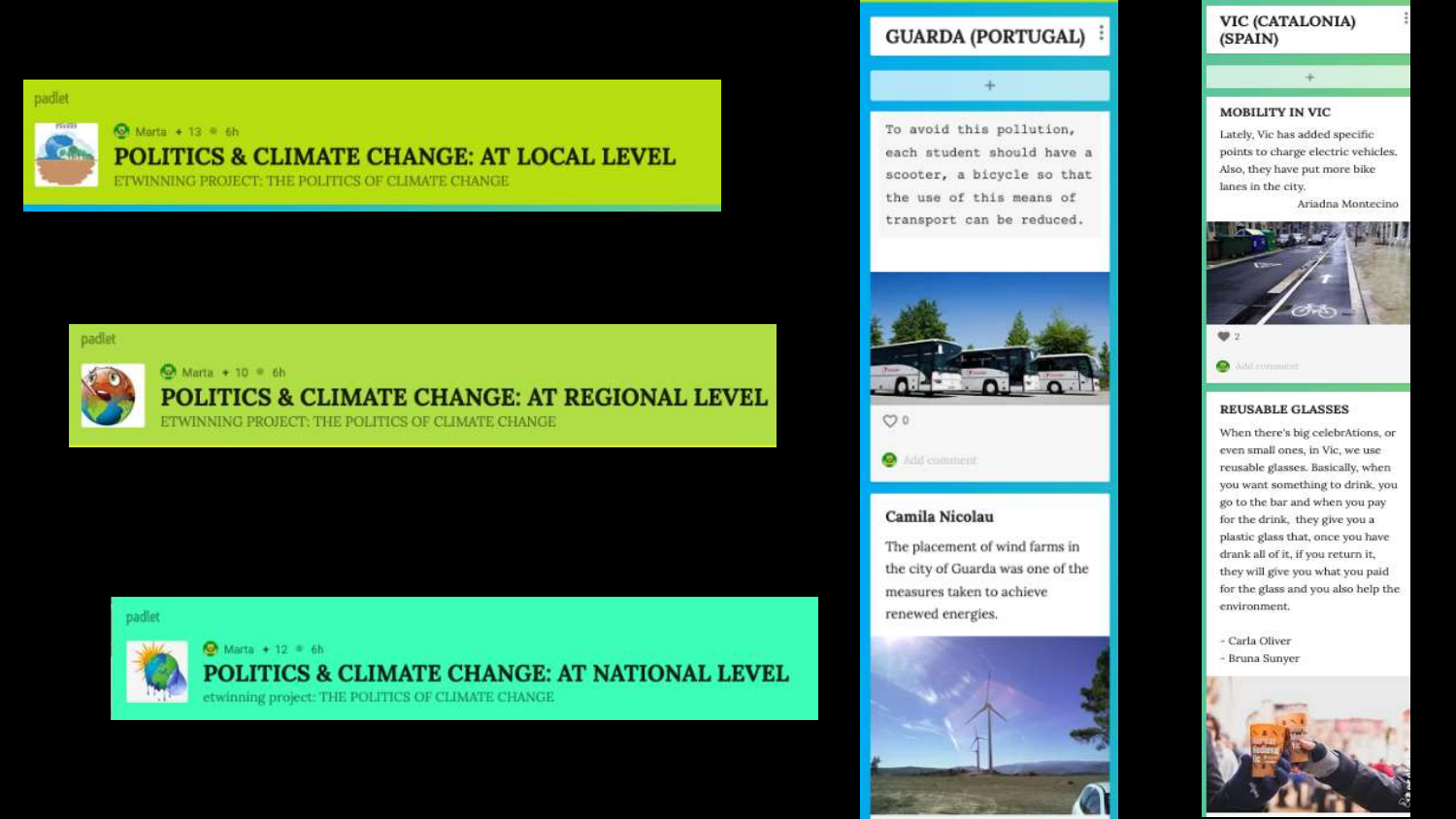padlet



### **O**: Marta + 13 = 6h **POLITICS & CLIMATE CHANGE: AT LOCAL LEVEL**

ETWINNING PROJECT: THE POLITICS OF CLIMATE CHANGE

#### padlet



Ch Marta + 10 · 6h

### POLITICS & CLIMATE CHANGE: AT REGIONAL LEVEL

ETWINNING PROJECT: THE POLITICS OF CLIMATE CHANGE

#### padlet



#### **O** Marta + 12 6h POLITICS & CLIMATE CHANGE: AT NATIONAL LEVEL

etwinning project: THE POLITICS OF CLIMATE CHANGE

#### **GUARDA (PORTUGAL)**



transport can be reduced.

![](_page_8_Picture_14.jpeg)

![](_page_8_Picture_15.jpeg)

#### ۰ Add comment.

#### Camila Nicolau

The placement of wind farms in the city of Guarda was one of the measures taken to achieve renewed energies.

![](_page_8_Picture_19.jpeg)

#### VIC (CATALONIA) (SPAIN)

#### **MOBILITY IN VIC**

Lately, Vic has added specific points to charge electric vehicles. Also, they have put more bike lanes in the city.

Ariadna Montecino

![](_page_8_Picture_24.jpeg)

#### **REUSABLE GLASSES**

When there's big celebrAtions, or even small ones, in Vic, we use reusable glasses. Basically, when you want something to drink, you go to the bar and when you pay for the drink, they give you a plastic glass that, once you have drank all of it, if you return it, they will give you what you paid for the glass and you also help the environment.

- Carla Oliver - Bruna Sunyer

![](_page_8_Picture_28.jpeg)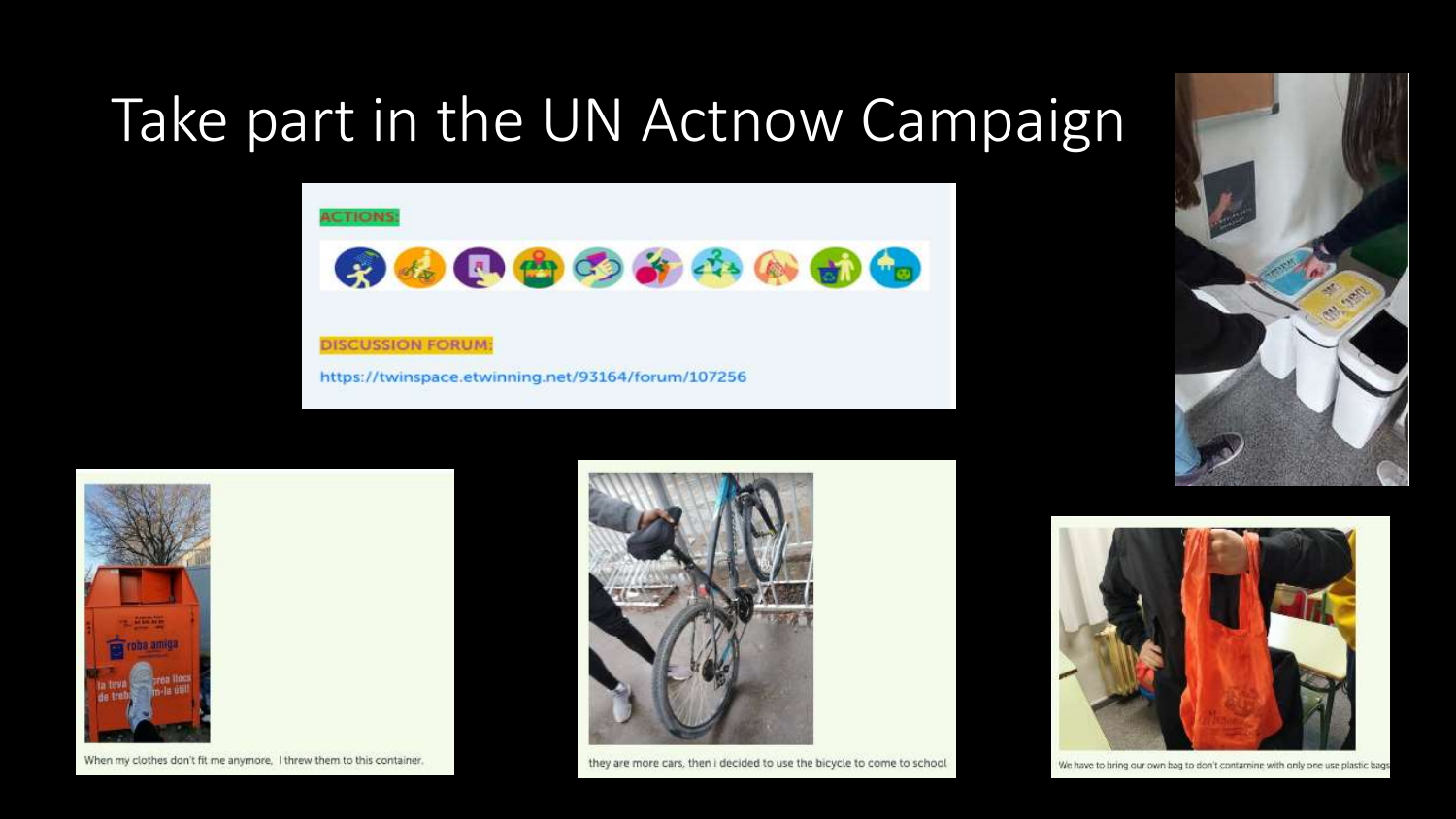## Take part in the UN Actnow Campaign

![](_page_9_Picture_1.jpeg)

**DISCUSSION FORUM:** https://twinspace.etwinning.net/93164/forum/107256

![](_page_9_Picture_3.jpeg)

![](_page_9_Picture_4.jpeg)

When my clothes don't fit me anymore, I threw them to this container,

![](_page_9_Picture_6.jpeg)

they are more cars, then I decided to use the bicycle to come to school

![](_page_9_Picture_8.jpeg)

We have to bring our own bag to don't contamine with only one use plastic bags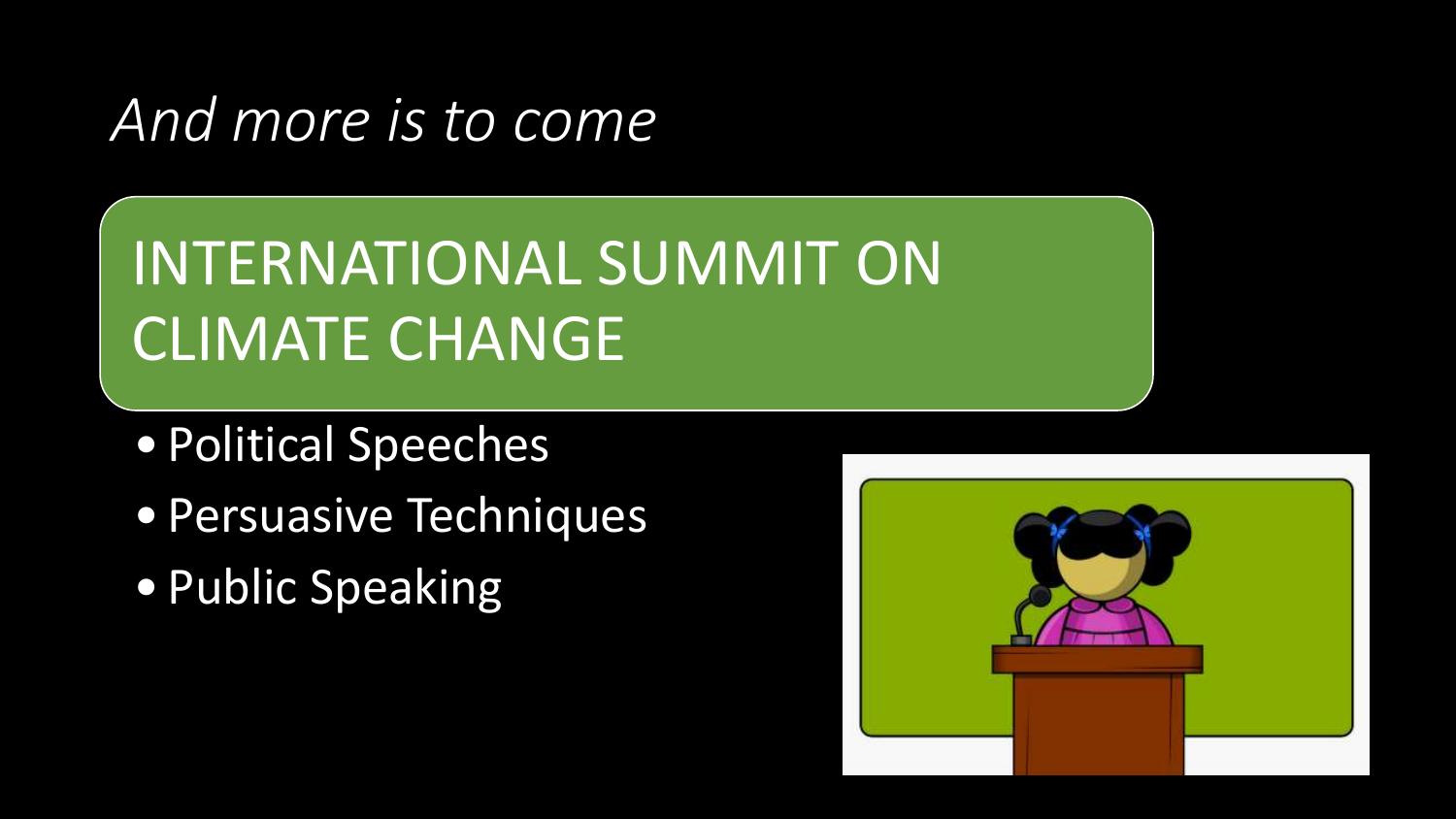### *And more is to come*

# INTERNATIONAL SUMMIT ON CLIMATE CHANGE

- Political Speeches
- Persuasive Techniques
- Public Speaking

![](_page_10_Picture_5.jpeg)